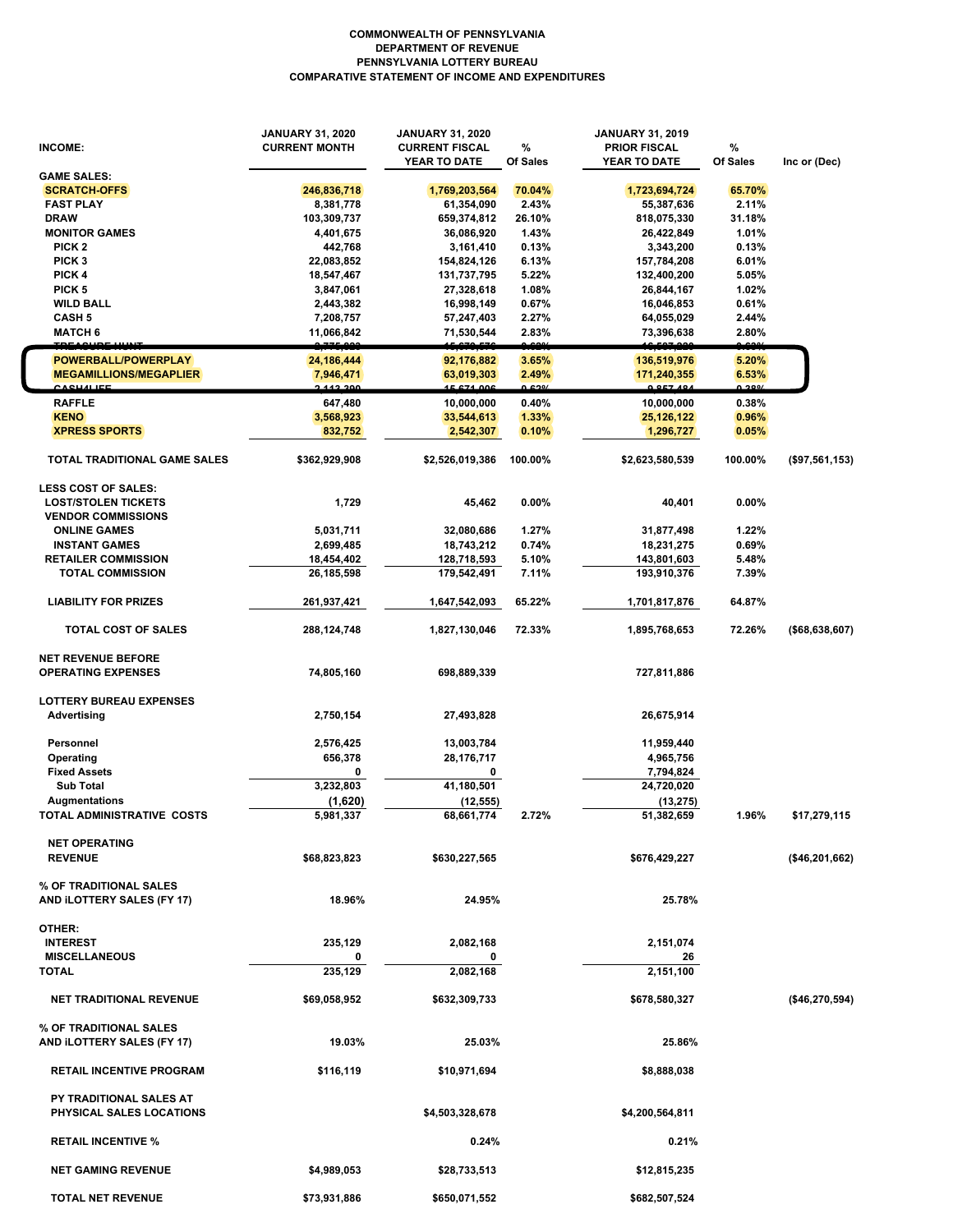## **COMMONWEALTH OF PENNSYLVANIA DEPARTMENT OF REVENUE PENNSYLVANIA LOTTERY BUREAU COMPARATIVE STATEMENT OF INCOME AND EXPENDITURES**

| <b>INCOME:</b>                                    | <b>JANUARY 31, 2020</b><br><b>CURRENT MONTH</b> | JANUARY 31, 2020<br><b>CURRENT FISCAL</b><br>YEAR TO DATE | %<br>Of Sales   | <b>JANUARY 31, 2019</b><br><b>PRIOR FISCAL</b><br>YEAR TO DATE | %<br>Of Sales         | Inc or (Dec)   |
|---------------------------------------------------|-------------------------------------------------|-----------------------------------------------------------|-----------------|----------------------------------------------------------------|-----------------------|----------------|
| <b>GAME SALES:</b>                                |                                                 |                                                           |                 |                                                                |                       |                |
| <b>SCRATCH-OFFS</b>                               | 246,836,718                                     | 1,769,203,564                                             | 70.04%          | 1,723,694,724                                                  | 65.70%                |                |
| <b>FAST PLAY</b>                                  | 8,381,778                                       | 61,354,090                                                | 2.43%           | 55,387,636                                                     | 2.11%                 |                |
| <b>DRAW</b>                                       | 103,309,737                                     | 659,374,812                                               | 26.10%          | 818,075,330                                                    | 31.18%                |                |
| <b>MONITOR GAMES</b>                              | 4,401,675                                       | 36,086,920                                                | 1.43%           | 26,422,849                                                     | 1.01%                 |                |
| PICK <sub>2</sub>                                 | 442,768                                         | 3,161,410                                                 | 0.13%           | 3,343,200                                                      | 0.13%                 |                |
|                                                   |                                                 |                                                           |                 |                                                                |                       |                |
| PICK <sub>3</sub>                                 | 22,083,852                                      | 154,824,126                                               | 6.13%           | 157,784,208                                                    | 6.01%                 |                |
| PICK 4                                            | 18,547,467                                      | 131,737,795                                               | 5.22%           | 132,400,200                                                    | 5.05%                 |                |
| PICK <sub>5</sub>                                 | 3,847,061                                       | 27,328,618                                                | 1.08%           | 26,844,167                                                     | 1.02%                 |                |
| <b>WILD BALL</b>                                  | 2,443,382                                       | 16,998,149                                                | 0.67%           | 16,046,853                                                     | 0.61%                 |                |
| <b>CASH 5</b>                                     | 7,208,757                                       | 57,247,403                                                | 2.27%           | 64,055,029                                                     | 2.44%                 |                |
| <b>MATCH 6</b>                                    | 11,066,842                                      | 71,530,544                                                | 2.83%           | 73,396,638                                                     | 2.80%                 |                |
|                                                   |                                                 |                                                           |                 |                                                                |                       |                |
| POWERBALL/POWERPLAY                               | 24,186,444                                      | 92,176,882                                                | 3.65%           | 136,519,976                                                    | 5.20%                 |                |
| <b>MEGAMILLIONS/MEGAPLIER</b><br><u>CACHALIEE</u> | 7,946,471<br>2.442.200                          | 63,019,303<br>15 671 006                                  | 2.49%<br>/002.0 | 171,240,355<br>0 057 494                                       | 6.53%<br><b>0.200</b> |                |
| <b>RAFFLE</b>                                     | 647,480                                         | 10,000,000                                                | 0.40%           | 10,000,000                                                     | 0.38%                 |                |
| <b>KENO</b>                                       | 3,568,923                                       | 33,544,613                                                | 1.33%           | 25, 126, 122                                                   | 0.96%                 |                |
| <b>XPRESS SPORTS</b>                              | 832,752                                         | 2,542,307                                                 | 0.10%           | 1,296,727                                                      | 0.05%                 |                |
|                                                   |                                                 |                                                           |                 |                                                                |                       |                |
| <b>TOTAL TRADITIONAL GAME SALES</b>               | \$362,929,908                                   | \$2,526,019,386                                           | 100.00%         | \$2,623,580,539                                                | 100.00%               | (\$97,561,153) |
| <b>LESS COST OF SALES:</b>                        |                                                 |                                                           |                 |                                                                |                       |                |
| <b>LOST/STOLEN TICKETS</b>                        | 1,729                                           | 45,462                                                    | 0.00%           | 40,401                                                         | $0.00\%$              |                |
| <b>VENDOR COMMISSIONS</b>                         |                                                 |                                                           |                 |                                                                |                       |                |
| <b>ONLINE GAMES</b>                               | 5,031,711                                       | 32,080,686                                                | 1.27%           | 31,877,498                                                     | 1.22%                 |                |
|                                                   |                                                 |                                                           |                 |                                                                |                       |                |
| <b>INSTANT GAMES</b>                              | 2,699,485                                       | 18,743,212                                                | 0.74%           | 18,231,275                                                     | 0.69%                 |                |
| <b>RETAILER COMMISSION</b>                        | 18,454,402                                      | 128,718,593                                               | 5.10%           | 143,801,603                                                    | 5.48%                 |                |
| <b>TOTAL COMMISSION</b>                           | 26,185,598                                      | 179,542,491                                               | 7.11%           | 193,910,376                                                    | 7.39%                 |                |
| <b>LIABILITY FOR PRIZES</b>                       | 261,937,421                                     | 1,647,542,093                                             | 65.22%          | 1,701,817,876                                                  | 64.87%                |                |
| TOTAL COST OF SALES                               | 288,124,748                                     | 1,827,130,046                                             | 72.33%          | 1,895,768,653                                                  | 72.26%                | (\$68,638,607) |
| <b>NET REVENUE BEFORE</b>                         |                                                 |                                                           |                 |                                                                |                       |                |
| <b>OPERATING EXPENSES</b>                         | 74,805,160                                      | 698,889,339                                               |                 | 727,811,886                                                    |                       |                |
|                                                   |                                                 |                                                           |                 |                                                                |                       |                |
| <b>LOTTERY BUREAU EXPENSES</b>                    |                                                 |                                                           |                 |                                                                |                       |                |
| <b>Advertising</b>                                | 2,750,154                                       | 27,493,828                                                |                 | 26,675,914                                                     |                       |                |
|                                                   |                                                 |                                                           |                 |                                                                |                       |                |
| Personnel                                         | 2,576,425                                       | 13,003,784                                                |                 | 11,959,440                                                     |                       |                |
| Operating                                         | 656,378                                         | 28,176,717                                                |                 | 4,965,756                                                      |                       |                |
| <b>Fixed Assets</b>                               | 0                                               | 0                                                         |                 | 7,794,824                                                      |                       |                |
| <b>Sub Total</b>                                  | 3,232,803                                       | 41,180,501                                                |                 | 24,720,020                                                     |                       |                |
|                                                   |                                                 |                                                           |                 |                                                                |                       |                |
| Augmentations                                     | (1,620)                                         | (12, 555)                                                 |                 | (13, 275)                                                      |                       |                |
| TOTAL ADMINISTRATIVE  COSTS                       | 5,981,337                                       | 68,661,774                                                | 2.72%           | 51,382,659                                                     | 1.96%                 | \$17,279,115   |
| <b>NET OPERATING</b>                              |                                                 |                                                           |                 |                                                                |                       |                |
| <b>REVENUE</b>                                    | \$68,823,823                                    | \$630,227,565                                             |                 | \$676,429,227                                                  |                       | (\$46,201,662) |
|                                                   |                                                 |                                                           |                 |                                                                |                       |                |
| % OF TRADITIONAL SALES                            |                                                 |                                                           |                 |                                                                |                       |                |
| AND ILOTTERY SALES (FY 17)                        | 18.96%                                          | 24.95%                                                    |                 | 25.78%                                                         |                       |                |
|                                                   |                                                 |                                                           |                 |                                                                |                       |                |
| OTHER:                                            |                                                 |                                                           |                 |                                                                |                       |                |
| <b>INTEREST</b>                                   | 235,129                                         | 2,082,168                                                 |                 | 2,151,074                                                      |                       |                |
| <b>MISCELLANEOUS</b>                              | 0                                               | 0                                                         |                 | 26                                                             |                       |                |
| <b>TOTAL</b>                                      | 235.129                                         | 2,082,168                                                 |                 | 2,151,100                                                      |                       |                |
|                                                   |                                                 |                                                           |                 |                                                                |                       |                |
| <b>NET TRADITIONAL REVENUE</b>                    | \$69,058,952                                    | \$632,309,733                                             |                 | \$678,580,327                                                  |                       | (\$46,270,594) |
|                                                   |                                                 |                                                           |                 |                                                                |                       |                |
| % OF TRADITIONAL SALES                            |                                                 |                                                           |                 |                                                                |                       |                |
| AND ILOTTERY SALES (FY 17)                        | 19.03%                                          | 25.03%                                                    |                 | 25.86%                                                         |                       |                |
|                                                   |                                                 |                                                           |                 |                                                                |                       |                |
| <b>RETAIL INCENTIVE PROGRAM</b>                   | \$116,119                                       | \$10,971,694                                              |                 | \$8,888,038                                                    |                       |                |
|                                                   |                                                 |                                                           |                 |                                                                |                       |                |
| PY TRADITIONAL SALES AT                           |                                                 |                                                           |                 |                                                                |                       |                |
| PHYSICAL SALES LOCATIONS                          |                                                 | \$4,503,328,678                                           |                 | \$4,200,564,811                                                |                       |                |
|                                                   |                                                 |                                                           |                 |                                                                |                       |                |
| <b>RETAIL INCENTIVE %</b>                         |                                                 | 0.24%                                                     |                 | 0.21%                                                          |                       |                |
|                                                   |                                                 |                                                           |                 |                                                                |                       |                |
| <b>NET GAMING REVENUE</b>                         | \$4,989,053                                     | \$28,733,513                                              |                 | \$12,815,235                                                   |                       |                |
| <b>TOTAL NET REVENUE</b>                          | \$73,931,886                                    | \$650,071,552                                             |                 | \$682,507,524                                                  |                       |                |

 $\left\lceil \right\rceil$